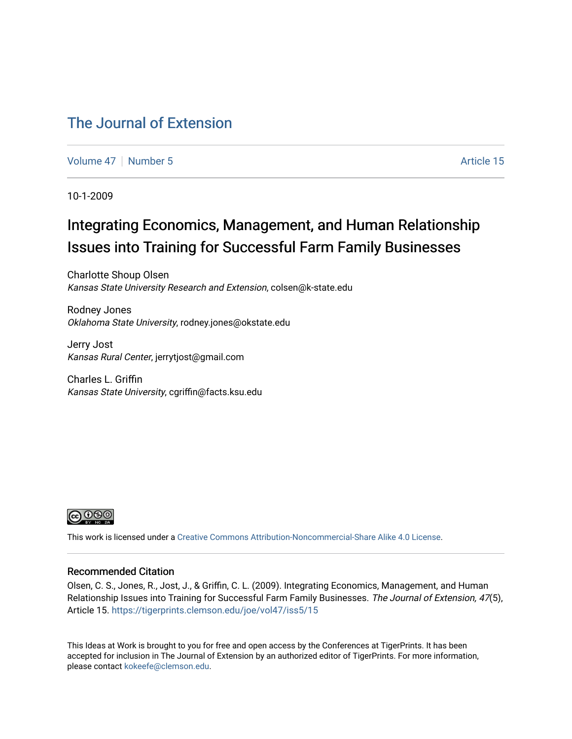### [The Journal of Extension](https://tigerprints.clemson.edu/joe)

[Volume 47](https://tigerprints.clemson.edu/joe/vol47) | [Number 5](https://tigerprints.clemson.edu/joe/vol47/iss5) Article 15

10-1-2009

### Integrating Economics, Management, and Human Relationship Issues into Training for Successful Farm Family Businesses

Charlotte Shoup Olsen Kansas State University Research and Extension, colsen@k-state.edu

Rodney Jones Oklahoma State University, rodney.jones@okstate.edu

Jerry Jost Kansas Rural Center, jerrytjost@gmail.com

Charles L. Griffin Kansas State University, cgriffin@facts.ksu.edu



This work is licensed under a [Creative Commons Attribution-Noncommercial-Share Alike 4.0 License.](https://creativecommons.org/licenses/by-nc-sa/4.0/)

#### Recommended Citation

Olsen, C. S., Jones, R., Jost, J., & Griffin, C. L. (2009). Integrating Economics, Management, and Human Relationship Issues into Training for Successful Farm Family Businesses. The Journal of Extension, 47(5), Article 15. <https://tigerprints.clemson.edu/joe/vol47/iss5/15>

This Ideas at Work is brought to you for free and open access by the Conferences at TigerPrints. It has been accepted for inclusion in The Journal of Extension by an authorized editor of TigerPrints. For more information, please contact [kokeefe@clemson.edu](mailto:kokeefe@clemson.edu).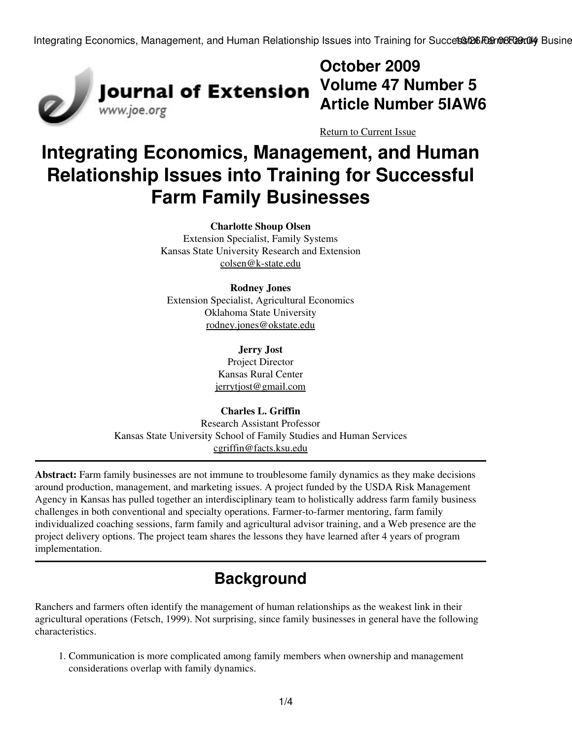Integrating Economics, Management, and Human Relationship Issues into Training for Succets 126 Farm 68 Farm 94 Busine



# **October 2009 Volume 47 Number 5 Article Number 5IAW6**

[Return to Current Issue](http://www.joe.org:80/joe/2009october/)

# **Integrating Economics, Management, and Human Relationship Issues into Training for Successful Farm Family Businesses**

#### **Charlotte Shoup Olsen**

Extension Specialist, Family Systems Kansas State University Research and Extension [colsen@k-state.edu](mailto:colsen@k-state.edu)

#### **Rodney Jones**

Extension Specialist, Agricultural Economics Oklahoma State University [rodney.jones@okstate.edu](mailto:rodney.jones@okstate.edu)

> **Jerry Jost** Project Director Kansas Rural Center [jerrytjost@gmail.com](mailto:jerrytjost@gmail.com)

#### **Charles L. Griffin**

Research Assistant Professor Kansas State University School of Family Studies and Human Services [cgriffin@facts.ksu.edu](mailto:cgriffin@facts.ksu.edu)

**Abstract:** Farm family businesses are not immune to troublesome family dynamics as they make decisions around production, management, and marketing issues. A project funded by the USDA Risk Management Agency in Kansas has pulled together an interdisciplinary team to holistically address farm family business challenges in both conventional and specialty operations. Farmer-to-farmer mentoring, farm family individualized coaching sessions, farm family and agricultural advisor training, and a Web presence are the project delivery options. The project team shares the lessons they have learned after 4 years of program implementation.

## **Background**

Ranchers and farmers often identify the management of human relationships as the weakest link in their agricultural operations (Fetsch, 1999). Not surprising, since family businesses in general have the following characteristics.

1. Communication is more complicated among family members when ownership and management considerations overlap with family dynamics.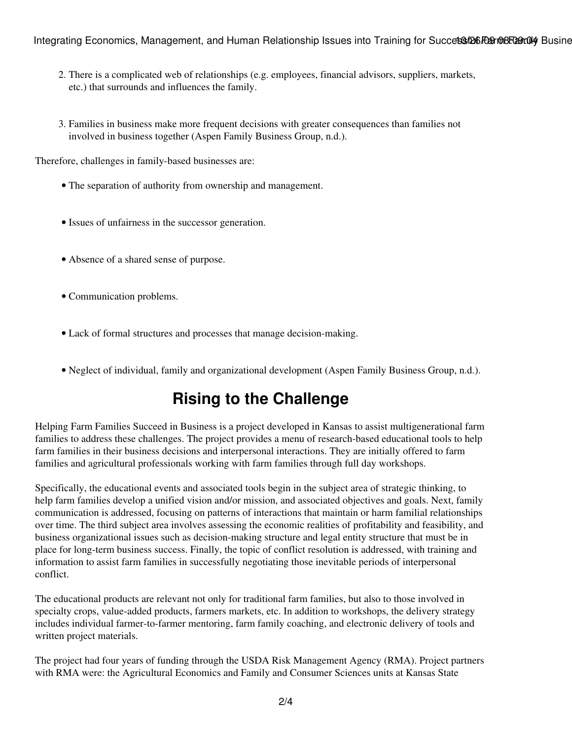#### Integrating Economics, Management, and Human Relationship Issues into Training for Succets 126 Family Busine

- 2. There is a complicated web of relationships (e.g. employees, financial advisors, suppliers, markets, etc.) that surrounds and influences the family.
- Families in business make more frequent decisions with greater consequences than families not 3. involved in business together (Aspen Family Business Group, n.d.).

Therefore, challenges in family-based businesses are:

- The separation of authority from ownership and management.
- Issues of unfairness in the successor generation.
- Absence of a shared sense of purpose.
- Communication problems.
- Lack of formal structures and processes that manage decision-making.
- Neglect of individual, family and organizational development (Aspen Family Business Group, n.d.).

# **Rising to the Challenge**

Helping Farm Families Succeed in Business is a project developed in Kansas to assist multigenerational farm families to address these challenges. The project provides a menu of research-based educational tools to help farm families in their business decisions and interpersonal interactions. They are initially offered to farm families and agricultural professionals working with farm families through full day workshops.

Specifically, the educational events and associated tools begin in the subject area of strategic thinking, to help farm families develop a unified vision and/or mission, and associated objectives and goals. Next, family communication is addressed, focusing on patterns of interactions that maintain or harm familial relationships over time. The third subject area involves assessing the economic realities of profitability and feasibility, and business organizational issues such as decision-making structure and legal entity structure that must be in place for long-term business success. Finally, the topic of conflict resolution is addressed, with training and information to assist farm families in successfully negotiating those inevitable periods of interpersonal conflict.

The educational products are relevant not only for traditional farm families, but also to those involved in specialty crops, value-added products, farmers markets, etc. In addition to workshops, the delivery strategy includes individual farmer-to-farmer mentoring, farm family coaching, and electronic delivery of tools and written project materials.

The project had four years of funding through the USDA Risk Management Agency (RMA). Project partners with RMA were: the Agricultural Economics and Family and Consumer Sciences units at Kansas State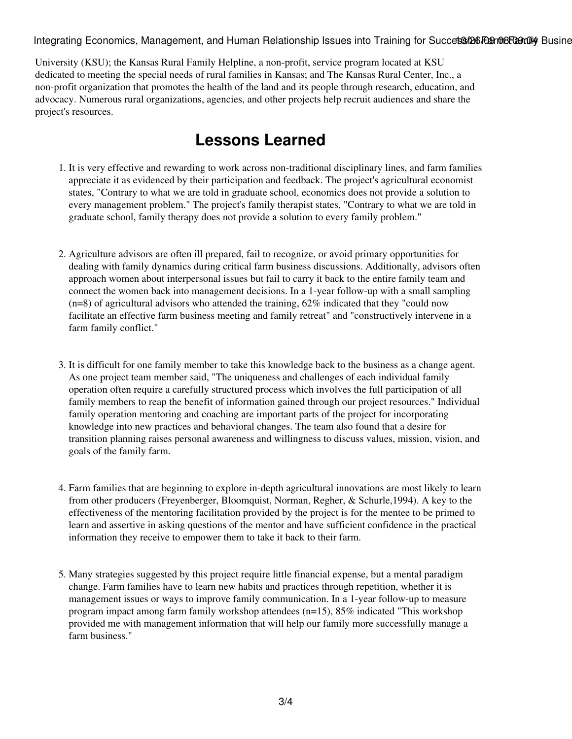Integrating Economics, Management, and Human Relationship Issues into Training for Succets 126 Farm 68 Farm 94

University (KSU); the Kansas Rural Family Helpline, a non-profit, service program located at KSU dedicated to meeting the special needs of rural families in Kansas; and The Kansas Rural Center, Inc., a non-profit organization that promotes the health of the land and its people through research, education, and advocacy. Numerous rural organizations, agencies, and other projects help recruit audiences and share the project's resources.

### **Lessons Learned**

- 1. It is very effective and rewarding to work across non-traditional disciplinary lines, and farm families appreciate it as evidenced by their participation and feedback. The project's agricultural economist states, "Contrary to what we are told in graduate school, economics does not provide a solution to every management problem." The project's family therapist states, "Contrary to what we are told in graduate school, family therapy does not provide a solution to every family problem."
- 2. Agriculture advisors are often ill prepared, fail to recognize, or avoid primary opportunities for dealing with family dynamics during critical farm business discussions. Additionally, advisors often approach women about interpersonal issues but fail to carry it back to the entire family team and connect the women back into management decisions. In a 1-year follow-up with a small sampling (n=8) of agricultural advisors who attended the training, 62% indicated that they "could now facilitate an effective farm business meeting and family retreat" and "constructively intervene in a farm family conflict."
- It is difficult for one family member to take this knowledge back to the business as a change agent. 3. As one project team member said, "The uniqueness and challenges of each individual family operation often require a carefully structured process which involves the full participation of all family members to reap the benefit of information gained through our project resources." Individual family operation mentoring and coaching are important parts of the project for incorporating knowledge into new practices and behavioral changes. The team also found that a desire for transition planning raises personal awareness and willingness to discuss values, mission, vision, and goals of the family farm.
- Farm families that are beginning to explore in-depth agricultural innovations are most likely to learn 4. from other producers (Freyenberger, Bloomquist, Norman, Regher, & Schurle,1994). A key to the effectiveness of the mentoring facilitation provided by the project is for the mentee to be primed to learn and assertive in asking questions of the mentor and have sufficient confidence in the practical information they receive to empower them to take it back to their farm.
- Many strategies suggested by this project require little financial expense, but a mental paradigm 5. change. Farm families have to learn new habits and practices through repetition, whether it is management issues or ways to improve family communication. In a 1-year follow-up to measure program impact among farm family workshop attendees (n=15), 85% indicated "This workshop provided me with management information that will help our family more successfully manage a farm business."